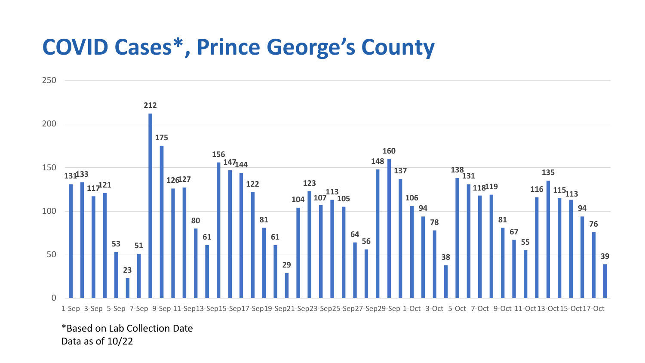## **COVID Cases\*, Prince George's County**



\*Based on Lab Collection Date Data as of 10/22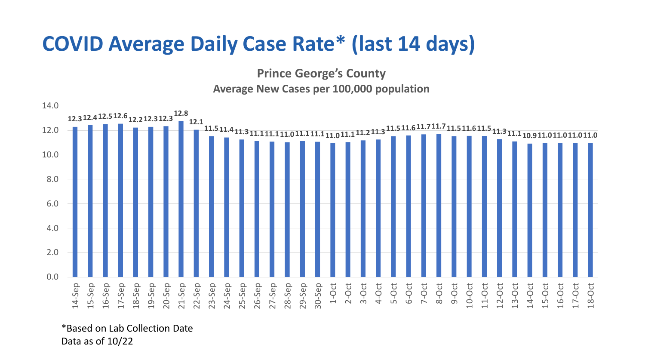## **COVID Average Daily Case Rate\* (last 14 days)**

**Prince George's County Average New Cases per 100,000 population**



\*Based on Lab Collection Date Data as of 10/22